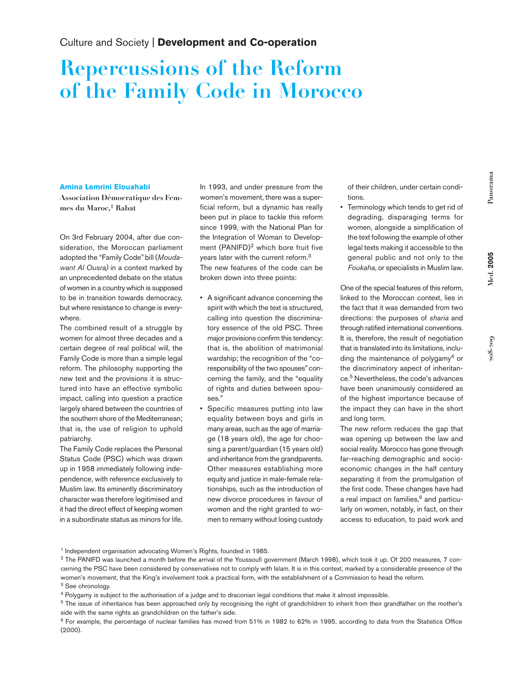## **Repercussions of the Reform of the Family Code in Morocco**

## **Amina Lemrini Elouahabi**

**Association Démocratique des Femmes du Maroc,<sup>1</sup> Rabat**

On 3rd February 2004, after due consideration, the Moroccan parliament adopted the "Family Code" bill (*Moudawant Al Ousra)* in a context marked by an unprecedented debate on the status of women in a country which is supposed to be in transition towards democracy, but where resistance to change is everywhere.

The combined result of a struggle by women for almost three decades and a certain degree of real political will, the Family Code is more than a simple legal reform. The philosophy supporting the new text and the provisions it is structured into have an effective symbolic impact, calling into question a practice largely shared between the countries of the southern shore of the Mediterranean; that is, the use of religion to uphold patriarchy.

The Family Code replaces the Personal Status Code (PSC) which was drawn up in 1958 immediately following independence, with reference exclusively to Muslim law. Its eminently discriminatory character was therefore legitimised and it had the direct effect of keeping women in a subordinate status as minors for life. In 1993, and under pressure from the women's movement, there was a superficial reform, but a dynamic has really been put in place to tackle this reform since 1999, with the National Plan for the Integration of Woman to Development (PANIFD)<sup>2</sup> which bore fruit five years later with the current reform.3 The new features of the code can be broken down into three points:

- A significant advance concerning the spirit with which the text is structured, calling into question the discriminatory essence of the old PSC. Three major provisions confirm this tendency: that is, the abolition of matrimonial wardship; the recognition of the "coresponsibility of the two spouses"concerning the family, and the "equality of rights and duties between spouses."
- Specific measures putting into law equality between boys and girls in many areas, such as the age of marriage (18 years old), the age for choosing a parent/guardian (15 years old) and inheritance from the grandparents. Other measures establishing more equity and justice in male-female relationships, such as the introduction of new divorce procedures in favour of women and the right granted to women to remarry without losing custody

of their children, under certain conditions.

• Terminology which tends to get rid of degrading, disparaging terms for women, alongside a simplification of the text following the example of other legal texts making it accessible to the general public and not only to the *Foukaha*, or specialists in Muslim law.

One of the special features of this reform, linked to the Moroccan context, lies in the fact that it was demanded from two directions: the purposes of *sharia* and through ratified international conventions. It is, therefore, the result of negotiation that is translated into its limitations, including the maintenance of polygamy<sup>4</sup> or the discriminatory aspect of inheritance.5 Nevertheless, the code's advances have been unanimously considered as of the highest importance because of the impact they can have in the short and long term.

The new reform reduces the gap that was opening up between the law and social reality. Morocco has gone through far-reaching demographic and socioeconomic changes in the half century separating it from the promulgation of the first code. These changes have had a real impact on families,<sup>6</sup> and particularly on women, notably, in fact, on their access to education, to paid work and **Med. 2005**

Med. 2005

<sup>&</sup>lt;sup>1</sup> Independent organisation advocating Women's Rights, founded in 1985.

<sup>&</sup>lt;sup>2</sup> The PANIFD was launched a month before the arrival of the Youssoufi government (March 1998), which took it up. Of 200 measures, 7 concerning the PSC have been considered by conservatives not to comply with Islam. It is in this context, marked by a considerable presence of the women's movement, that the King's involvement took a practical form, with the establishment of a Commission to head the reform. <sup>3</sup> See chronology.

<sup>4</sup> Polygamy is subject to the authorisation of a judge and to draconian legal conditions that make it almost impossible.

<sup>&</sup>lt;sup>5</sup> The issue of inheritance has been approached only by recognising the right of grandchildren to inherit from their grandfather on the mother's side with the same rights as grandchildren on the father's side.

<sup>6</sup> For example, the percentage of nuclear families has moved from 51% in 1982 to 62% in 1995, according to data from the Statistics Office (2000).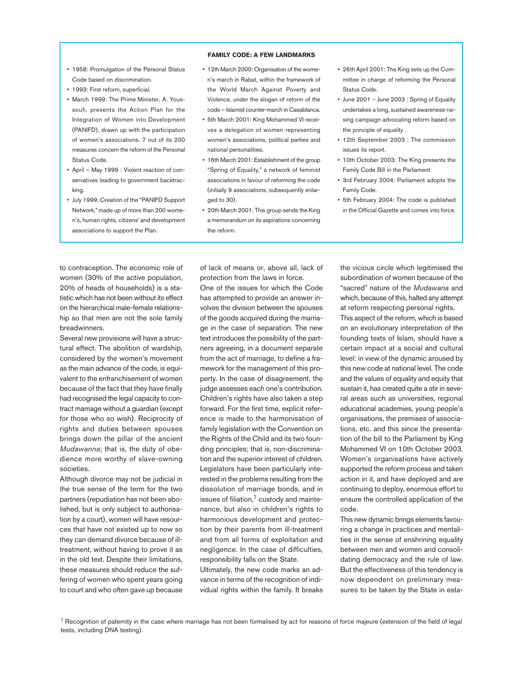## **FAMILY CODE: A FEW LANDMARKS**

- 1958: Promulgation of the Personal Status Code based on discrimination.
- 1993: First reform, superficial.
- March 1999: The Prime Minister, A. Youssoufi, presents the Action Plan for the Integration of Women into Development (PANIFD), drawn up with the participation of women's associations. 7 out of its 200 measures concern the reform of the Personal Status Code.
- April May 1999 : Violent reaction of conservatives leading to government backtracking.
- July 1999: Creation of the "PANIFD Support Network," made up of more than 200 women's, human rights, citizens' and development associations to support the Plan.
- 12th March 2000: Organisation of the women's march in Rabat, within the framework of the World March Against Poverty and Violence, under the slogan of reform of the code – Islamist counter-march in Casablanca.
- 5th March 2001: King Mohammed VI receives a delegation of women representing women's associations, political parties and national personalities.
- 16th March 2001: Establishment of the group "Spring of Equality," a network of feminist associations in favour of reforming the code (initially 9 associations, subsequently enlarged to 30).
- 20th March 2001: This group sends the King a memorandum on its aspirations concerning the reform.
- 26th April 2001: The King sets up the Committee in charge of reforming the Personal Status Code.
- June 2001 June 2003 : Spring of Equality undertakes a long, sustained awareness-raising campaign advocating reform based on the principle of equality .
- 12th September 2003 : The commission issues its report.
- 10th October 2003: The King presents the Family Code Bill in the Parliament
- 3rd February 2004: Parliament adopts the Family Code.
- 5th February 2004: The code is published in the Official Gazette and comes into force.

to contraception. The economic role of women (30% of the active population, 20% of heads of households) is a statistic which has not been without its effect on the hierarchical male-female relationship so that men are not the sole family breadwinners.

Several new provisions will have a structural effect. The abolition of wardship, considered by the women's movement as the main advance of the code, is equivalent to the enfranchisement of women because of the fact that they have finally had recognised the legal capacity to contract marriage without a guardian (except for those who so wish). Reciprocity of rights and duties between spouses brings down the pillar of the ancient *Mudawanna*; that is, the duty of obedience more worthy of slave-owning societies.

Although divorce may not be judicial in the true sense of the term for the two partners (repudiation has not been abolished, but is only subject to authorisation by a court), women will have resources that have not existed up to now so they can demand divorce because of illtreatment, without having to prove it as in the old text. Despite their limitations, these measures should reduce the suffering of women who spent years going to court and who often gave up because

of lack of means or, above all, lack of protection from the laws in force. One of the issues for which the Code has attempted to provide an answer involves the division between the spouses of the goods acquired during the marriage in the case of separation. The new text introduces the possibility of the partners agreeing, in a document separate from the act of marriage, to define a framework for the management of this property. In the case of disagreement, the judge assesses each one's contribution. Children's rights have also taken a step forward. For the first time, explicit reference is made to the harmonisation of family legislation with the Convention on the Rights of the Child and its two founding principles; that is, non-discrimination and the superior interest of children. Legislators have been particularly interested in the problems resulting from the dissolution of marriage bonds, and in issues of filiation,<sup>7</sup> custody and maintenance, but also in children's rights to harmonious development and protection by their parents from ill-treatment and from all forms of exploitation and negligence. In the case of difficulties, responsibility falls on the State.

Ultimately, the new code marks an advance in terms of the recognition of individual rights within the family. It breaks the vicious circle which legitimised the subordination of women because of the "sacred" nature of the *Mudawana* and which, because of this, halted any attempt at reform respecting personal rights.

This aspect of the reform, which is based on an evolutionary interpretation of the founding texts of Islam, should have a certain impact at a social and cultural level: in view of the dynamic aroused by this new code at national level. The code and the values of equality and equity that sustain it, has created quite a stir in several areas such as universities, regional educational academies, young people's organisations, the premises of associations, etc. and this since the presentation of the bill to the Parliament by King Mohammed VI on 10th October 2003. Women's organisations have actively supported the reform process and taken action in it, and have deployed and are continuing to deploy, enormous effort to ensure the controlled application of the code.

This new dynamic brings elements favouring a change in practices and mentalities in the sense of enshrining equality between men and women and consolidating democracy and the rule of law. But the effectiveness of this tendency is now dependent on preliminary measures to be taken by the State in esta-

<sup>&</sup>lt;sup>7</sup> Recognition of paternity in the case where marriage has not been formalised by act for reasons of force majeure (extension of the field of legal tests, including DNA testing).